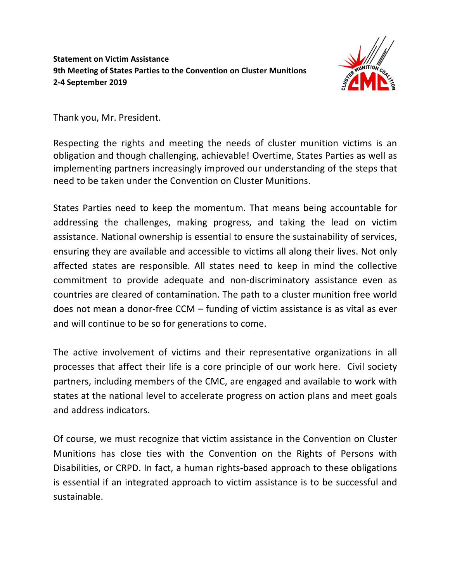## **Statement on Victim Assistance 9th Meeting of States Parties to the Convention on Cluster Munitions 2-4 September 2019**



Thank you, Mr. President.

Respecting the rights and meeting the needs of cluster munition victims is an obligation and though challenging, achievable! Overtime, States Parties as well as implementing partners increasingly improved our understanding of the steps that need to be taken under the Convention on Cluster Munitions.

States Parties need to keep the momentum. That means being accountable for addressing the challenges, making progress, and taking the lead on victim assistance. National ownership is essential to ensure the sustainability of services, ensuring they are available and accessible to victims all along their lives. Not only affected states are responsible. All states need to keep in mind the collective commitment to provide adequate and non-discriminatory assistance even as countries are cleared of contamination. The path to a cluster munition free world does not mean a donor-free CCM – funding of victim assistance is as vital as ever and will continue to be so for generations to come.

The active involvement of victims and their representative organizations in all processes that affect their life is a core principle of our work here. Civil society partners, including members of the CMC, are engaged and available to work with states at the national level to accelerate progress on action plans and meet goals and address indicators.

Of course, we must recognize that victim assistance in the Convention on Cluster Munitions has close ties with the Convention on the Rights of Persons with Disabilities, or CRPD. In fact, a human rights-based approach to these obligations is essential if an integrated approach to victim assistance is to be successful and sustainable.